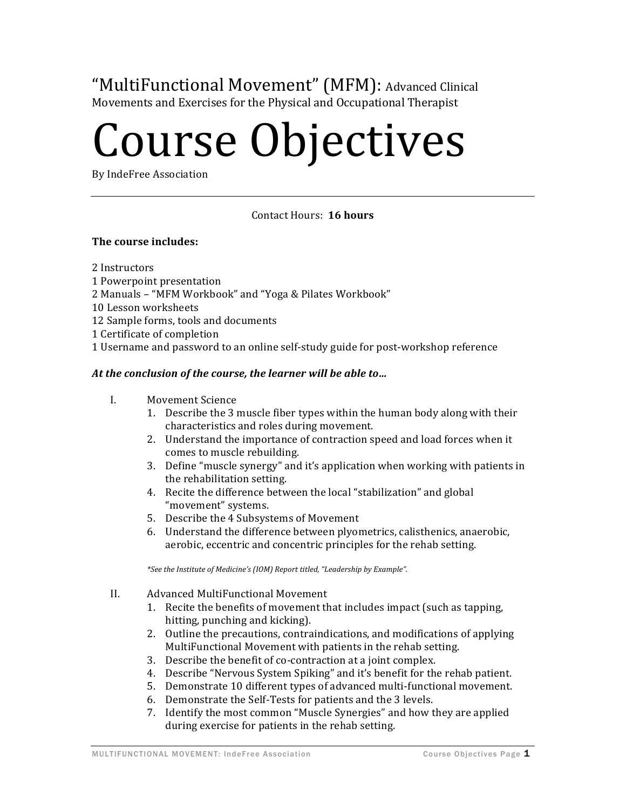"MultiFunctional Movement" (MFM): Advanced Clinical Movements and Exercises for the Physical and Occupational Therapist

# Course Objectives

By IndeFree Association

# Contact Hours: 16 hours

# **The course includes:**

2 Instructors

- 1 Powerpoint presentation
- 2 Manuals "MFM Workbook" and "Yoga & Pilates Workbook"
- 10 Lesson worksheets
- 12 Sample forms, tools and documents
- 1 Certificate of completion

1 Username and password to an online self-study guide for post-workshop reference

# At the conclusion of the course, the learner will be able to...

- I. Movement Science
	- 1. Describe the 3 muscle fiber types within the human body along with their characteristics and roles during movement.
	- 2. Understand the importance of contraction speed and load forces when it comes to muscle rebuilding.
	- 3. Define "muscle synergy" and it's application when working with patients in the rehabilitation setting.
	- 4. Recite the difference between the local "stabilization" and global "movement" systems.
	- 5. Describe the 4 Subsystems of Movement
	- 6. Understand the difference between plyometrics, calisthenics, anaerobic, aerobic, eccentric and concentric principles for the rehab setting.

*\*See the Institute of Medicine's (IOM) Report titled, "Leadership by Example".*

- II. Advanced MultiFunctional Movement
	- 1. Recite the benefits of movement that includes impact (such as tapping, hitting, punching and kicking).
	- 2. Outline the precautions, contraindications, and modifications of applying MultiFunctional Movement with patients in the rehab setting.
	- 3. Describe the benefit of co-contraction at a joint complex.
	- 4. Describe "Nervous System Spiking" and it's benefit for the rehab patient.
	- 5. Demonstrate 10 different types of advanced multi-functional movement.
	- 6. Demonstrate the Self-Tests for patients and the 3 levels.
	- 7. Identify the most common "Muscle Synergies" and how they are applied during exercise for patients in the rehab setting.